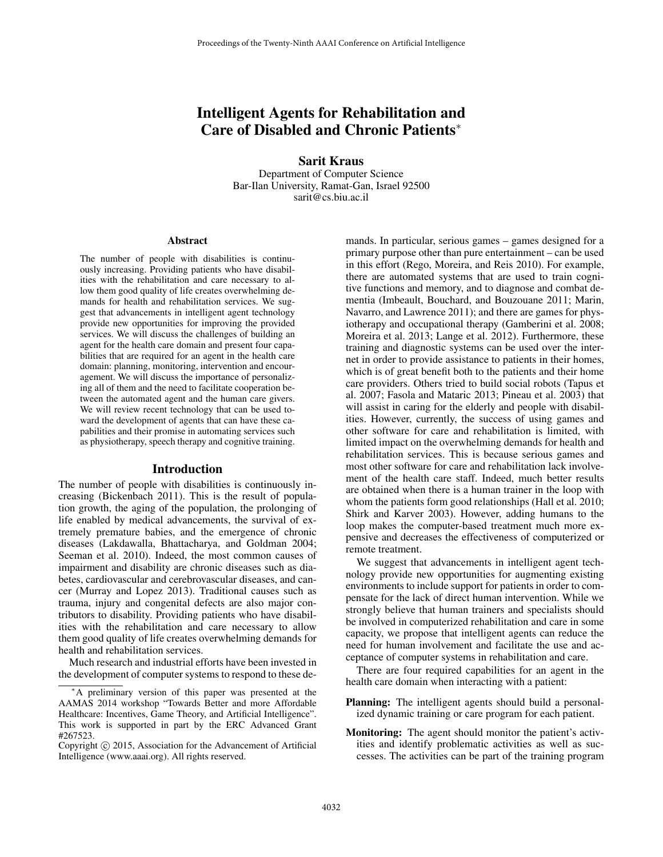# Intelligent Agents for Rehabilitation and Care of Disabled and Chronic Patients<sup>∗</sup>

Sarit Kraus Department of Computer Science Bar-Ilan University, Ramat-Gan, Israel 92500 sarit@cs.biu.ac.il

#### Abstract

The number of people with disabilities is continuously increasing. Providing patients who have disabilities with the rehabilitation and care necessary to allow them good quality of life creates overwhelming demands for health and rehabilitation services. We suggest that advancements in intelligent agent technology provide new opportunities for improving the provided services. We will discuss the challenges of building an agent for the health care domain and present four capabilities that are required for an agent in the health care domain: planning, monitoring, intervention and encouragement. We will discuss the importance of personalizing all of them and the need to facilitate cooperation between the automated agent and the human care givers. We will review recent technology that can be used toward the development of agents that can have these capabilities and their promise in automating services such as physiotherapy, speech therapy and cognitive training.

### Introduction

The number of people with disabilities is continuously increasing (Bickenbach 2011). This is the result of population growth, the aging of the population, the prolonging of life enabled by medical advancements, the survival of extremely premature babies, and the emergence of chronic diseases (Lakdawalla, Bhattacharya, and Goldman 2004; Seeman et al. 2010). Indeed, the most common causes of impairment and disability are chronic diseases such as diabetes, cardiovascular and cerebrovascular diseases, and cancer (Murray and Lopez 2013). Traditional causes such as trauma, injury and congenital defects are also major contributors to disability. Providing patients who have disabilities with the rehabilitation and care necessary to allow them good quality of life creates overwhelming demands for health and rehabilitation services.

Much research and industrial efforts have been invested in the development of computer systems to respond to these demands. In particular, serious games – games designed for a primary purpose other than pure entertainment – can be used in this effort (Rego, Moreira, and Reis 2010). For example, there are automated systems that are used to train cognitive functions and memory, and to diagnose and combat dementia (Imbeault, Bouchard, and Bouzouane 2011; Marin, Navarro, and Lawrence 2011); and there are games for physiotherapy and occupational therapy (Gamberini et al. 2008; Moreira et al. 2013; Lange et al. 2012). Furthermore, these training and diagnostic systems can be used over the internet in order to provide assistance to patients in their homes, which is of great benefit both to the patients and their home care providers. Others tried to build social robots (Tapus et al. 2007; Fasola and Mataric 2013; Pineau et al. 2003) that will assist in caring for the elderly and people with disabilities. However, currently, the success of using games and other software for care and rehabilitation is limited, with limited impact on the overwhelming demands for health and rehabilitation services. This is because serious games and most other software for care and rehabilitation lack involvement of the health care staff. Indeed, much better results are obtained when there is a human trainer in the loop with whom the patients form good relationships (Hall et al. 2010; Shirk and Karver 2003). However, adding humans to the loop makes the computer-based treatment much more expensive and decreases the effectiveness of computerized or remote treatment.

We suggest that advancements in intelligent agent technology provide new opportunities for augmenting existing environments to include support for patients in order to compensate for the lack of direct human intervention. While we strongly believe that human trainers and specialists should be involved in computerized rehabilitation and care in some capacity, we propose that intelligent agents can reduce the need for human involvement and facilitate the use and acceptance of computer systems in rehabilitation and care.

There are four required capabilities for an agent in the health care domain when interacting with a patient:

- Planning: The intelligent agents should build a personalized dynamic training or care program for each patient.
- Monitoring: The agent should monitor the patient's activities and identify problematic activities as well as successes. The activities can be part of the training program

<sup>∗</sup>A preliminary version of this paper was presented at the AAMAS 2014 workshop "Towards Better and more Affordable Healthcare: Incentives, Game Theory, and Artificial Intelligence". This work is supported in part by the ERC Advanced Grant #267523.

Copyright © 2015, Association for the Advancement of Artificial Intelligence (www.aaai.org). All rights reserved.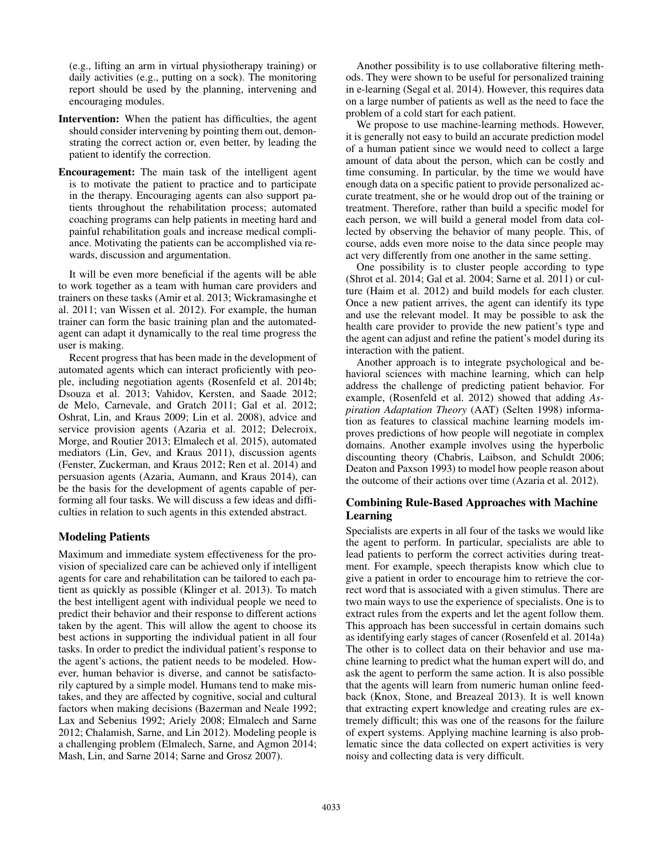(e.g., lifting an arm in virtual physiotherapy training) or daily activities (e.g., putting on a sock). The monitoring report should be used by the planning, intervening and encouraging modules.

- Intervention: When the patient has difficulties, the agent should consider intervening by pointing them out, demonstrating the correct action or, even better, by leading the patient to identify the correction.
- Encouragement: The main task of the intelligent agent is to motivate the patient to practice and to participate in the therapy. Encouraging agents can also support patients throughout the rehabilitation process; automated coaching programs can help patients in meeting hard and painful rehabilitation goals and increase medical compliance. Motivating the patients can be accomplished via rewards, discussion and argumentation.

It will be even more beneficial if the agents will be able to work together as a team with human care providers and trainers on these tasks (Amir et al. 2013; Wickramasinghe et al. 2011; van Wissen et al. 2012). For example, the human trainer can form the basic training plan and the automatedagent can adapt it dynamically to the real time progress the user is making.

Recent progress that has been made in the development of automated agents which can interact proficiently with people, including negotiation agents (Rosenfeld et al. 2014b; Dsouza et al. 2013; Vahidov, Kersten, and Saade 2012; de Melo, Carnevale, and Gratch 2011; Gal et al. 2012; Oshrat, Lin, and Kraus 2009; Lin et al. 2008), advice and service provision agents (Azaria et al. 2012; Delecroix, Morge, and Routier 2013; Elmalech et al. 2015), automated mediators (Lin, Gev, and Kraus 2011), discussion agents (Fenster, Zuckerman, and Kraus 2012; Ren et al. 2014) and persuasion agents (Azaria, Aumann, and Kraus 2014), can be the basis for the development of agents capable of performing all four tasks. We will discuss a few ideas and difficulties in relation to such agents in this extended abstract.

# Modeling Patients

Maximum and immediate system effectiveness for the provision of specialized care can be achieved only if intelligent agents for care and rehabilitation can be tailored to each patient as quickly as possible (Klinger et al. 2013). To match the best intelligent agent with individual people we need to predict their behavior and their response to different actions taken by the agent. This will allow the agent to choose its best actions in supporting the individual patient in all four tasks. In order to predict the individual patient's response to the agent's actions, the patient needs to be modeled. However, human behavior is diverse, and cannot be satisfactorily captured by a simple model. Humans tend to make mistakes, and they are affected by cognitive, social and cultural factors when making decisions (Bazerman and Neale 1992; Lax and Sebenius 1992; Ariely 2008; Elmalech and Sarne 2012; Chalamish, Sarne, and Lin 2012). Modeling people is a challenging problem (Elmalech, Sarne, and Agmon 2014; Mash, Lin, and Sarne 2014; Sarne and Grosz 2007).

Another possibility is to use collaborative filtering methods. They were shown to be useful for personalized training in e-learning (Segal et al. 2014). However, this requires data on a large number of patients as well as the need to face the problem of a cold start for each patient.

We propose to use machine-learning methods. However, it is generally not easy to build an accurate prediction model of a human patient since we would need to collect a large amount of data about the person, which can be costly and time consuming. In particular, by the time we would have enough data on a specific patient to provide personalized accurate treatment, she or he would drop out of the training or treatment. Therefore, rather than build a specific model for each person, we will build a general model from data collected by observing the behavior of many people. This, of course, adds even more noise to the data since people may act very differently from one another in the same setting.

One possibility is to cluster people according to type (Shrot et al. 2014; Gal et al. 2004; Sarne et al. 2011) or culture (Haim et al. 2012) and build models for each cluster. Once a new patient arrives, the agent can identify its type and use the relevant model. It may be possible to ask the health care provider to provide the new patient's type and the agent can adjust and refine the patient's model during its interaction with the patient.

Another approach is to integrate psychological and behavioral sciences with machine learning, which can help address the challenge of predicting patient behavior. For example, (Rosenfeld et al. 2012) showed that adding *Aspiration Adaptation Theory* (AAT) (Selten 1998) information as features to classical machine learning models improves predictions of how people will negotiate in complex domains. Another example involves using the hyperbolic discounting theory (Chabris, Laibson, and Schuldt 2006; Deaton and Paxson 1993) to model how people reason about the outcome of their actions over time (Azaria et al. 2012).

# Combining Rule-Based Approaches with Machine Learning

Specialists are experts in all four of the tasks we would like the agent to perform. In particular, specialists are able to lead patients to perform the correct activities during treatment. For example, speech therapists know which clue to give a patient in order to encourage him to retrieve the correct word that is associated with a given stimulus. There are two main ways to use the experience of specialists. One is to extract rules from the experts and let the agent follow them. This approach has been successful in certain domains such as identifying early stages of cancer (Rosenfeld et al. 2014a) The other is to collect data on their behavior and use machine learning to predict what the human expert will do, and ask the agent to perform the same action. It is also possible that the agents will learn from numeric human online feedback (Knox, Stone, and Breazeal 2013). It is well known that extracting expert knowledge and creating rules are extremely difficult; this was one of the reasons for the failure of expert systems. Applying machine learning is also problematic since the data collected on expert activities is very noisy and collecting data is very difficult.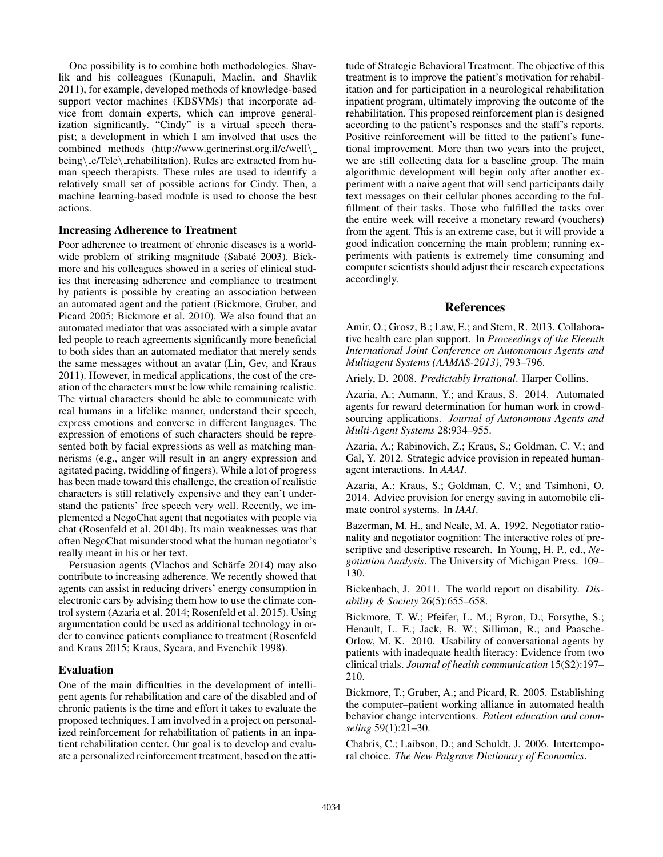One possibility is to combine both methodologies. Shavlik and his colleagues (Kunapuli, Maclin, and Shavlik 2011), for example, developed methods of knowledge-based support vector machines (KBSVMs) that incorporate advice from domain experts, which can improve generalization significantly. "Cindy" is a virtual speech therapist; a development in which I am involved that uses the combined methods (http://www.gertnerinst.org.il/e/well\ being\\_e/Tele\\_rehabilitation). Rules are extracted from human speech therapists. These rules are used to identify a relatively small set of possible actions for Cindy. Then, a machine learning-based module is used to choose the best actions.

### Increasing Adherence to Treatment

Poor adherence to treatment of chronic diseases is a worldwide problem of striking magnitude (Sabaté 2003). Bickmore and his colleagues showed in a series of clinical studies that increasing adherence and compliance to treatment by patients is possible by creating an association between an automated agent and the patient (Bickmore, Gruber, and Picard 2005; Bickmore et al. 2010). We also found that an automated mediator that was associated with a simple avatar led people to reach agreements significantly more beneficial to both sides than an automated mediator that merely sends the same messages without an avatar (Lin, Gev, and Kraus 2011). However, in medical applications, the cost of the creation of the characters must be low while remaining realistic. The virtual characters should be able to communicate with real humans in a lifelike manner, understand their speech, express emotions and converse in different languages. The expression of emotions of such characters should be represented both by facial expressions as well as matching mannerisms (e.g., anger will result in an angry expression and agitated pacing, twiddling of fingers). While a lot of progress has been made toward this challenge, the creation of realistic characters is still relatively expensive and they can't understand the patients' free speech very well. Recently, we implemented a NegoChat agent that negotiates with people via chat (Rosenfeld et al. 2014b). Its main weaknesses was that often NegoChat misunderstood what the human negotiator's really meant in his or her text.

Persuasion agents (Vlachos and Schärfe 2014) may also contribute to increasing adherence. We recently showed that agents can assist in reducing drivers' energy consumption in electronic cars by advising them how to use the climate control system (Azaria et al. 2014; Rosenfeld et al. 2015). Using argumentation could be used as additional technology in order to convince patients compliance to treatment (Rosenfeld and Kraus 2015; Kraus, Sycara, and Evenchik 1998).

# Evaluation

One of the main difficulties in the development of intelligent agents for rehabilitation and care of the disabled and of chronic patients is the time and effort it takes to evaluate the proposed techniques. I am involved in a project on personalized reinforcement for rehabilitation of patients in an inpatient rehabilitation center. Our goal is to develop and evaluate a personalized reinforcement treatment, based on the atti-

tude of Strategic Behavioral Treatment. The objective of this treatment is to improve the patient's motivation for rehabilitation and for participation in a neurological rehabilitation inpatient program, ultimately improving the outcome of the rehabilitation. This proposed reinforcement plan is designed according to the patient's responses and the staff's reports. Positive reinforcement will be fitted to the patient's functional improvement. More than two years into the project, we are still collecting data for a baseline group. The main algorithmic development will begin only after another experiment with a naive agent that will send participants daily text messages on their cellular phones according to the fulfillment of their tasks. Those who fulfilled the tasks over the entire week will receive a monetary reward (vouchers) from the agent. This is an extreme case, but it will provide a good indication concerning the main problem; running experiments with patients is extremely time consuming and computer scientists should adjust their research expectations accordingly.

# References

Amir, O.; Grosz, B.; Law, E.; and Stern, R. 2013. Collaborative health care plan support. In *Proceedings of the Eleenth International Joint Conference on Autonomous Agents and Multiagent Systems (AAMAS-2013)*, 793–796.

Ariely, D. 2008. *Predictably Irrational*. Harper Collins.

Azaria, A.; Aumann, Y.; and Kraus, S. 2014. Automated agents for reward determination for human work in crowdsourcing applications. *Journal of Autonomous Agents and Multi-Agent Systems* 28:934–955.

Azaria, A.; Rabinovich, Z.; Kraus, S.; Goldman, C. V.; and Gal, Y. 2012. Strategic advice provision in repeated humanagent interactions. In *AAAI*.

Azaria, A.; Kraus, S.; Goldman, C. V.; and Tsimhoni, O. 2014. Advice provision for energy saving in automobile climate control systems. In *IAAI*.

Bazerman, M. H., and Neale, M. A. 1992. Negotiator rationality and negotiator cognition: The interactive roles of prescriptive and descriptive research. In Young, H. P., ed., *Negotiation Analysis*. The University of Michigan Press. 109– 130.

Bickenbach, J. 2011. The world report on disability. *Disability & Society* 26(5):655–658.

Bickmore, T. W.; Pfeifer, L. M.; Byron, D.; Forsythe, S.; Henault, L. E.; Jack, B. W.; Silliman, R.; and Paasche-Orlow, M. K. 2010. Usability of conversational agents by patients with inadequate health literacy: Evidence from two clinical trials. *Journal of health communication* 15(S2):197– 210.

Bickmore, T.; Gruber, A.; and Picard, R. 2005. Establishing the computer–patient working alliance in automated health behavior change interventions. *Patient education and counseling* 59(1):21–30.

Chabris, C.; Laibson, D.; and Schuldt, J. 2006. Intertemporal choice. *The New Palgrave Dictionary of Economics*.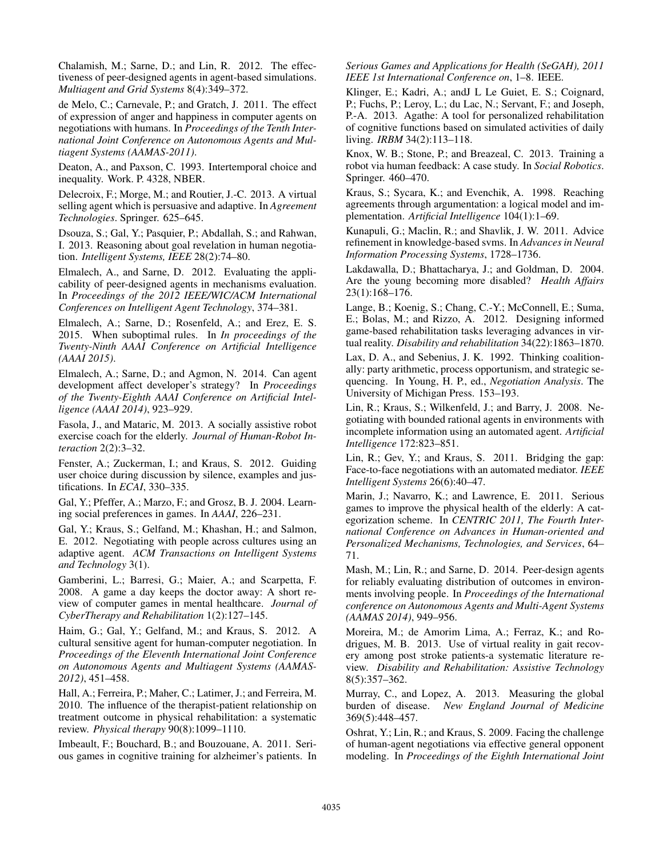Chalamish, M.; Sarne, D.; and Lin, R. 2012. The effectiveness of peer-designed agents in agent-based simulations. *Multiagent and Grid Systems* 8(4):349–372.

de Melo, C.; Carnevale, P.; and Gratch, J. 2011. The effect of expression of anger and happiness in computer agents on negotiations with humans. In *Proceedings of the Tenth International Joint Conference on Autonomous Agents and Multiagent Systems (AAMAS-2011)*.

Deaton, A., and Paxson, C. 1993. Intertemporal choice and inequality. Work. P. 4328, NBER.

Delecroix, F.; Morge, M.; and Routier, J.-C. 2013. A virtual selling agent which is persuasive and adaptive. In *Agreement Technologies*. Springer. 625–645.

Dsouza, S.; Gal, Y.; Pasquier, P.; Abdallah, S.; and Rahwan, I. 2013. Reasoning about goal revelation in human negotiation. *Intelligent Systems, IEEE* 28(2):74–80.

Elmalech, A., and Sarne, D. 2012. Evaluating the applicability of peer-designed agents in mechanisms evaluation. In *Proceedings of the 2012 IEEE/WIC/ACM International Conferences on Intelligent Agent Technology*, 374–381.

Elmalech, A.; Sarne, D.; Rosenfeld, A.; and Erez, E. S. 2015. When suboptimal rules. In *In proceedings of the Twenty-Ninth AAAI Conference on Artificial Intelligence (AAAI 2015)*.

Elmalech, A.; Sarne, D.; and Agmon, N. 2014. Can agent development affect developer's strategy? In *Proceedings of the Twenty-Eighth AAAI Conference on Artificial Intelligence (AAAI 2014)*, 923–929.

Fasola, J., and Mataric, M. 2013. A socially assistive robot exercise coach for the elderly. *Journal of Human-Robot Interaction* 2(2):3–32.

Fenster, A.; Zuckerman, I.; and Kraus, S. 2012. Guiding user choice during discussion by silence, examples and justifications. In *ECAI*, 330–335.

Gal, Y.; Pfeffer, A.; Marzo, F.; and Grosz, B. J. 2004. Learning social preferences in games. In *AAAI*, 226–231.

Gal, Y.; Kraus, S.; Gelfand, M.; Khashan, H.; and Salmon, E. 2012. Negotiating with people across cultures using an adaptive agent. *ACM Transactions on Intelligent Systems and Technology* 3(1).

Gamberini, L.; Barresi, G.; Maier, A.; and Scarpetta, F. 2008. A game a day keeps the doctor away: A short review of computer games in mental healthcare. *Journal of CyberTherapy and Rehabilitation* 1(2):127–145.

Haim, G.; Gal, Y.; Gelfand, M.; and Kraus, S. 2012. A cultural sensitive agent for human-computer negotiation. In *Proceedings of the Eleventh International Joint Conference on Autonomous Agents and Multiagent Systems (AAMAS-2012)*, 451–458.

Hall, A.; Ferreira, P.; Maher, C.; Latimer, J.; and Ferreira, M. 2010. The influence of the therapist-patient relationship on treatment outcome in physical rehabilitation: a systematic review. *Physical therapy* 90(8):1099–1110.

Imbeault, F.; Bouchard, B.; and Bouzouane, A. 2011. Serious games in cognitive training for alzheimer's patients. In

*Serious Games and Applications for Health (SeGAH), 2011 IEEE 1st International Conference on*, 1–8. IEEE.

Klinger, E.; Kadri, A.; andJ L Le Guiet, E. S.; Coignard, P.; Fuchs, P.; Leroy, L.; du Lac, N.; Servant, F.; and Joseph, P.-A. 2013. Agathe: A tool for personalized rehabilitation of cognitive functions based on simulated activities of daily living. *IRBM* 34(2):113–118.

Knox, W. B.; Stone, P.; and Breazeal, C. 2013. Training a robot via human feedback: A case study. In *Social Robotics*. Springer. 460–470.

Kraus, S.; Sycara, K.; and Evenchik, A. 1998. Reaching agreements through argumentation: a logical model and implementation. *Artificial Intelligence* 104(1):1–69.

Kunapuli, G.; Maclin, R.; and Shavlik, J. W. 2011. Advice refinement in knowledge-based svms. In *Advances in Neural Information Processing Systems*, 1728–1736.

Lakdawalla, D.; Bhattacharya, J.; and Goldman, D. 2004. Are the young becoming more disabled? *Health Affairs* 23(1):168–176.

Lange, B.; Koenig, S.; Chang, C.-Y.; McConnell, E.; Suma, E.; Bolas, M.; and Rizzo, A. 2012. Designing informed game-based rehabilitation tasks leveraging advances in virtual reality. *Disability and rehabilitation* 34(22):1863–1870.

Lax, D. A., and Sebenius, J. K. 1992. Thinking coalitionally: party arithmetic, process opportunism, and strategic sequencing. In Young, H. P., ed., *Negotiation Analysis*. The University of Michigan Press. 153–193.

Lin, R.; Kraus, S.; Wilkenfeld, J.; and Barry, J. 2008. Negotiating with bounded rational agents in environments with incomplete information using an automated agent. *Artificial Intelligence* 172:823–851.

Lin, R.; Gev, Y.; and Kraus, S. 2011. Bridging the gap: Face-to-face negotiations with an automated mediator. *IEEE Intelligent Systems* 26(6):40–47.

Marin, J.; Navarro, K.; and Lawrence, E. 2011. Serious games to improve the physical health of the elderly: A categorization scheme. In *CENTRIC 2011, The Fourth International Conference on Advances in Human-oriented and Personalized Mechanisms, Technologies, and Services*, 64– 71.

Mash, M.; Lin, R.; and Sarne, D. 2014. Peer-design agents for reliably evaluating distribution of outcomes in environments involving people. In *Proceedings of the International conference on Autonomous Agents and Multi-Agent Systems (AAMAS 2014)*, 949–956.

Moreira, M.; de Amorim Lima, A.; Ferraz, K.; and Rodrigues, M. B. 2013. Use of virtual reality in gait recovery among post stroke patients-a systematic literature review. *Disability and Rehabilitation: Assistive Technology* 8(5):357–362.

Murray, C., and Lopez, A. 2013. Measuring the global burden of disease. *New England Journal of Medicine* 369(5):448–457.

Oshrat, Y.; Lin, R.; and Kraus, S. 2009. Facing the challenge of human-agent negotiations via effective general opponent modeling. In *Proceedings of the Eighth International Joint*